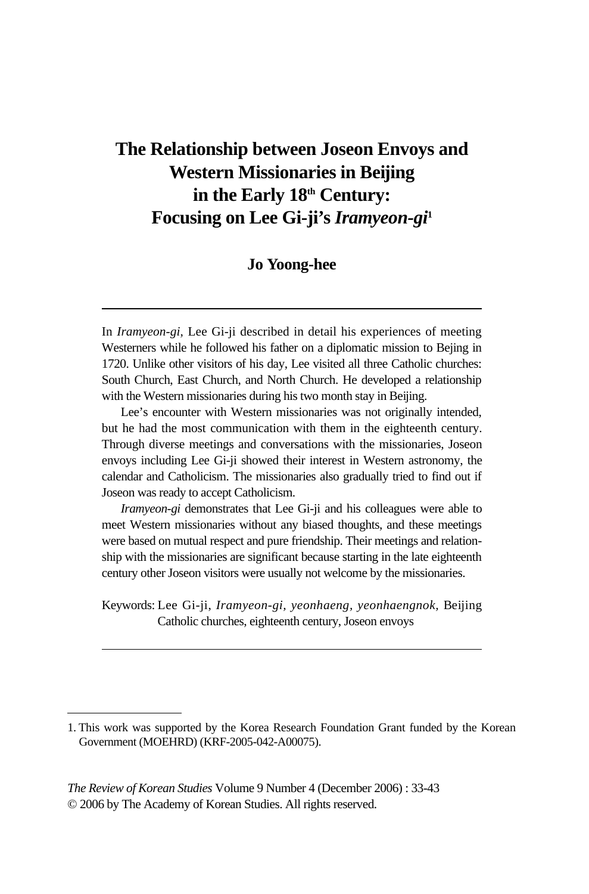# **The Relationship between Joseon Envoys and Western Missionaries in Beijing**  in the Early 18<sup>th</sup> Century: **Focusing on Lee Gi-ji's** *Iramyeon-gi***<sup>1</sup>**

#### **Jo Yoong-hee**

Lee's encounter with Western missionaries was not originally intended, but he had the most communication with them in the eighteenth century. Through diverse meetings and conversations with the missionaries, Joseon envoys including Lee Gi-ji showed their interest in Western astronomy, the calendar and Catholicism. The missionaries also gradually tried to find out if Joseon was ready to accept Catholicism.

*Iramyeon-gi* demonstrates that Lee Gi-ji and his colleagues were able to meet Western missionaries without any biased thoughts, and these meetings were based on mutual respect and pure friendship. Their meetings and relationship with the missionaries are significant because starting in the late eighteenth century other Joseon visitors were usually not welcome by the missionaries.

Keywords: Lee Gi-ji, *Iramyeon-gi, yeonhaeng, yeonhaengnok,* Beijing Catholic churches, eighteenth century, Joseon envoys

*The Review of Korean Studies* Volume 9 Number 4 (December 2006) : 33-43 © 2006 by The Academy of Korean Studies. All rights reserved.

In *Iramyeon-gi,* Lee Gi-ji described in detail his experiences of meeting Westerners while he followed his father on a diplomatic mission to Bejing in 1720. Unlike other visitors of his day, Lee visited all three Catholic churches: South Church, East Church, and North Church. He developed a relationship with the Western missionaries during his two month stay in Beijing.

<sup>1.</sup> This work was supported by the Korea Research Foundation Grant funded by the Korean Government (MOEHRD) (KRF-2005-042-A00075).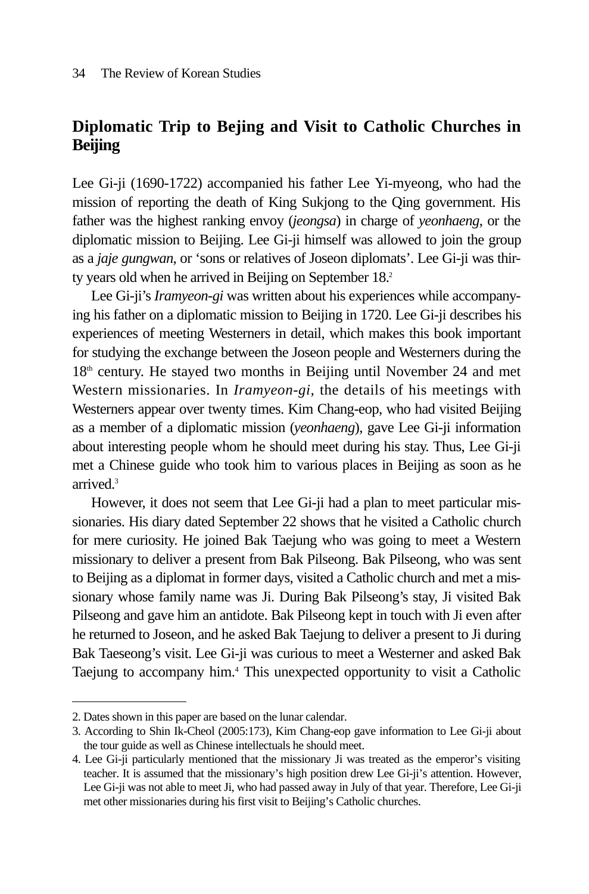## **Diplomatic Trip to Bejing and Visit to Catholic Churches in Beijing**

Lee Gi-ji (1690-1722) accompanied his father Lee Yi-myeong, who had the mission of reporting the death of King Sukjong to the Qing government. His father was the highest ranking envoy (*jeongsa*) in charge of *yeonhaeng*, or the diplomatic mission to Beijing. Lee Gi-ji himself was allowed to join the group as a *jaje gungwan*, or 'sons or relatives of Joseon diplomats'. Lee Gi-ji was thirty years old when he arrived in Beijing on September 18.<sup>2</sup>

Lee Gi-ji's *Iramyeon-gi* was written about his experiences while accompanying his father on a diplomatic mission to Beijing in 1720. Lee Gi-ji describes his experiences of meeting Westerners in detail, which makes this book important for studying the exchange between the Joseon people and Westerners during the  $18<sup>th</sup>$  century. He stayed two months in Beijing until November 24 and met Western missionaries. In *Iramyeon-gi,* the details of his meetings with Westerners appear over twenty times. Kim Chang-eop, who had visited Beijing as a member of a diplomatic mission (*yeonhaeng*), gave Lee Gi-ji information about interesting people whom he should meet during his stay. Thus, Lee Gi-ji met a Chinese guide who took him to various places in Beijing as soon as he arrived.3

However, it does not seem that Lee Gi-ji had a plan to meet particular missionaries. His diary dated September 22 shows that he visited a Catholic church for mere curiosity. He joined Bak Taejung who was going to meet a Western missionary to deliver a present from Bak Pilseong. Bak Pilseong, who was sent to Beijing as a diplomat in former days, visited a Catholic church and met a missionary whose family name was Ji. During Bak Pilseong's stay, Ji visited Bak Pilseong and gave him an antidote. Bak Pilseong kept in touch with Ji even after he returned to Joseon, and he asked Bak Taejung to deliver a present to Ji during Bak Taeseong's visit. Lee Gi-ji was curious to meet a Westerner and asked Bak Taejung to accompany him.4 This unexpected opportunity to visit a Catholic

<sup>2.</sup> Dates shown in this paper are based on the lunar calendar.

<sup>3.</sup> According to Shin Ik-Cheol (2005:173), Kim Chang-eop gave information to Lee Gi-ji about the tour guide as well as Chinese intellectuals he should meet.

<sup>4.</sup> Lee Gi-ji particularly mentioned that the missionary Ji was treated as the emperor's visiting teacher. It is assumed that the missionary's high position drew Lee Gi-ji's attention. However, Lee Gi-ji was not able to meet Ji, who had passed away in July of that year. Therefore, Lee Gi-ji met other missionaries during his first visit to Beijing's Catholic churches.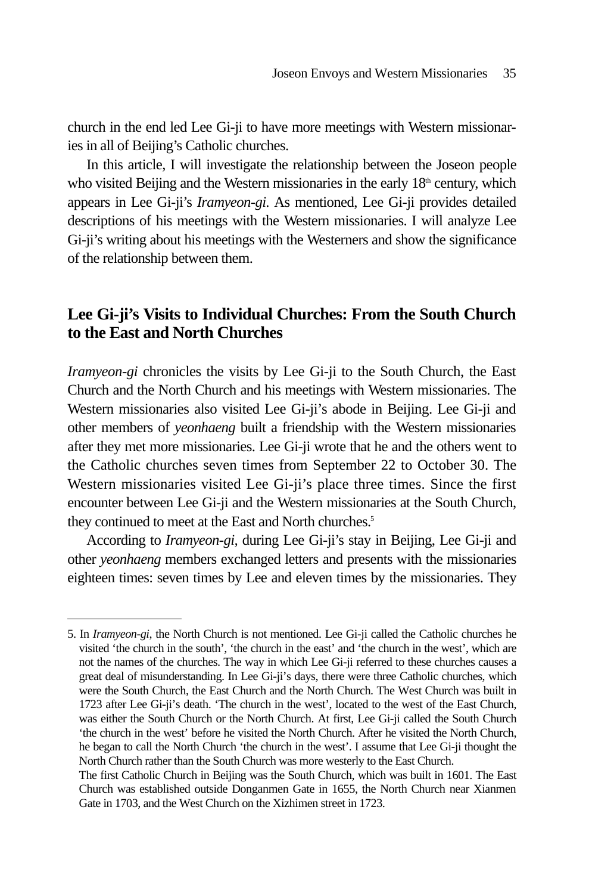church in the end led Lee Gi-ji to have more meetings with Western missionaries in all of Beijing's Catholic churches.

In this article, I will investigate the relationship between the Joseon people who visited Beijing and the Western missionaries in the early  $18<sup>th</sup>$  century, which appears in Lee Gi-ji's *Iramyeon-gi*. As mentioned, Lee Gi-ji provides detailed descriptions of his meetings with the Western missionaries. I will analyze Lee Gi-ji's writing about his meetings with the Westerners and show the significance of the relationship between them.

## **Lee Gi-ji's Visits to Individual Churches: From the South Church to the East and North Churches**

*Iramyeon-gi* chronicles the visits by Lee Gi-ji to the South Church, the East Church and the North Church and his meetings with Western missionaries. The Western missionaries also visited Lee Gi-ji's abode in Beijing. Lee Gi-ji and other members of *yeonhaeng* built a friendship with the Western missionaries after they met more missionaries. Lee Gi-ji wrote that he and the others went to the Catholic churches seven times from September 22 to October 30. The Western missionaries visited Lee Gi-ji's place three times. Since the first encounter between Lee Gi-ji and the Western missionaries at the South Church, they continued to meet at the East and North churches.<sup>5</sup>

According to *Iramyeon-gi,* during Lee Gi-ji's stay in Beijing, Lee Gi-ji and other *yeonhaeng* members exchanged letters and presents with the missionaries eighteen times: seven times by Lee and eleven times by the missionaries. They

<sup>5.</sup> In *Iramyeon-gi*, the North Church is not mentioned. Lee Gi-ji called the Catholic churches he visited 'the church in the south', 'the church in the east' and 'the church in the west', which are not the names of the churches. The way in which Lee Gi-ji referred to these churches causes a great deal of misunderstanding. In Lee Gi-ji's days, there were three Catholic churches, which were the South Church, the East Church and the North Church. The West Church was built in 1723 after Lee Gi-ji's death. 'The church in the west', located to the west of the East Church, was either the South Church or the North Church. At first, Lee Gi-ji called the South Church 'the church in the west' before he visited the North Church. After he visited the North Church, he began to call the North Church 'the church in the west'. I assume that Lee Gi-ji thought the North Church rather than the South Church was more westerly to the East Church.

The first Catholic Church in Beijing was the South Church, which was built in 1601. The East Church was established outside Donganmen Gate in 1655, the North Church near Xianmen Gate in 1703, and the West Church on the Xizhimen street in 1723.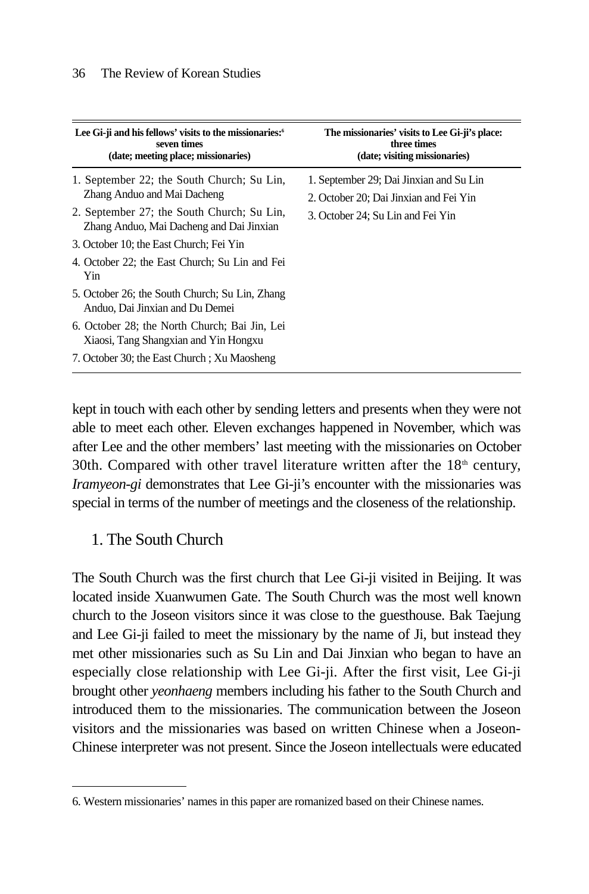| Lee Gi-ji and his fellows' visits to the missionaries: <sup>6</sup><br>seven times<br>(date; meeting place; missionaries)                                                                                                                                               | The missionaries' visits to Lee Gi-ji's place:<br>three times<br>(date; visiting missionaries)                         |
|-------------------------------------------------------------------------------------------------------------------------------------------------------------------------------------------------------------------------------------------------------------------------|------------------------------------------------------------------------------------------------------------------------|
| 1. September 22; the South Church; Su Lin,<br>Zhang Anduo and Mai Dacheng<br>2. September 27; the South Church; Su Lin,<br>Zhang Anduo, Mai Dacheng and Dai Jinxian<br>3. October 10; the East Church; Fei Yin<br>4. October 22; the East Church; Su Lin and Fei<br>Yin | 1. September 29; Dai Jinxian and Su Lin<br>2. October 20; Dai Jinxian and Fei Yin<br>3. October 24; Su Lin and Fei Yin |
| 5. October 26; the South Church; Su Lin, Zhang<br>Anduo, Dai Jinxian and Du Demei<br>6. October 28; the North Church; Bai Jin, Lei<br>Xiaosi, Tang Shangxian and Yin Hongxu<br>7. October 30; the East Church ; Xu Maosheng                                             |                                                                                                                        |

kept in touch with each other by sending letters and presents when they were not able to meet each other. Eleven exchanges happened in November, which was after Lee and the other members' last meeting with the missionaries on October 30th. Compared with other travel literature written after the  $18<sup>th</sup>$  century, *Iramyeon-gi* demonstrates that Lee Gi-ji's encounter with the missionaries was special in terms of the number of meetings and the closeness of the relationship.

### 1. The South Church

The South Church was the first church that Lee Gi-ji visited in Beijing. It was located inside Xuanwumen Gate. The South Church was the most well known church to the Joseon visitors since it was close to the guesthouse. Bak Taejung and Lee Gi-ji failed to meet the missionary by the name of Ji, but instead they met other missionaries such as Su Lin and Dai Jinxian who began to have an especially close relationship with Lee Gi-ji. After the first visit, Lee Gi-ji brought other *yeonhaeng* members including his father to the South Church and introduced them to the missionaries. The communication between the Joseon visitors and the missionaries was based on written Chinese when a Joseon-Chinese interpreter was not present. Since the Joseon intellectuals were educated

<sup>6.</sup> Western missionaries' names in this paper are romanized based on their Chinese names.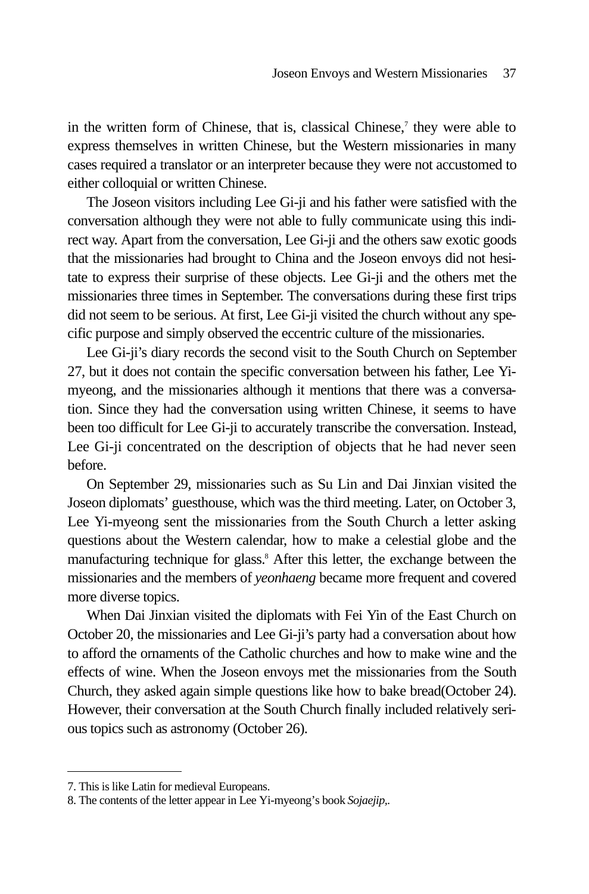in the written form of Chinese, that is, classical Chinese,<sup>7</sup> they were able to express themselves in written Chinese, but the Western missionaries in many cases required a translator or an interpreter because they were not accustomed to either colloquial or written Chinese.

The Joseon visitors including Lee Gi-ji and his father were satisfied with the conversation although they were not able to fully communicate using this indirect way. Apart from the conversation, Lee Gi-ji and the others saw exotic goods that the missionaries had brought to China and the Joseon envoys did not hesitate to express their surprise of these objects. Lee Gi-ji and the others met the missionaries three times in September. The conversations during these first trips did not seem to be serious. At first, Lee Gi-ji visited the church without any specific purpose and simply observed the eccentric culture of the missionaries.

Lee Gi-ji's diary records the second visit to the South Church on September 27, but it does not contain the specific conversation between his father, Lee Yimyeong, and the missionaries although it mentions that there was a conversation. Since they had the conversation using written Chinese, it seems to have been too difficult for Lee Gi-ji to accurately transcribe the conversation. Instead, Lee Gi-ji concentrated on the description of objects that he had never seen before.

On September 29, missionaries such as Su Lin and Dai Jinxian visited the Joseon diplomats' guesthouse, which was the third meeting. Later, on October 3, Lee Yi-myeong sent the missionaries from the South Church a letter asking questions about the Western calendar, how to make a celestial globe and the manufacturing technique for glass.<sup>8</sup> After this letter, the exchange between the missionaries and the members of *yeonhaeng* became more frequent and covered more diverse topics.

When Dai Jinxian visited the diplomats with Fei Yin of the East Church on October 20, the missionaries and Lee Gi-ji's party had a conversation about how to afford the ornaments of the Catholic churches and how to make wine and the effects of wine. When the Joseon envoys met the missionaries from the South Church, they asked again simple questions like how to bake bread(October 24). However, their conversation at the South Church finally included relatively serious topics such as astronomy (October 26).

<sup>7.</sup> This is like Latin for medieval Europeans.

<sup>8.</sup> The contents of the letter appear in Lee Yi-myeong's book *Sojaejip,.*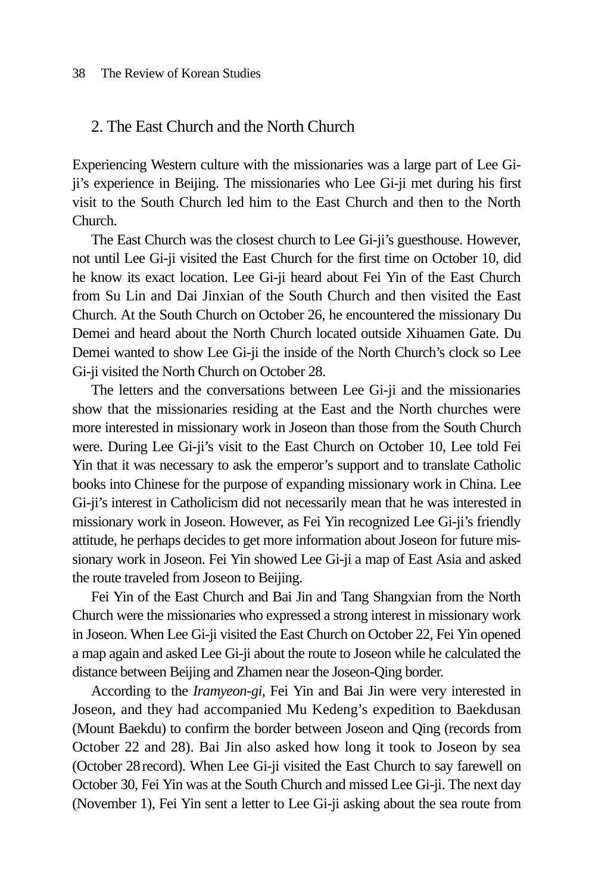#### 38 The Review of Korean Studies

### 2. The East Church and the North Church

Experiencing Western culture with the missionaries was a large part of Lee Giji's experience in Beijing. The missionaries who Lee Gi-ji met during his first visit to the South Church led him to the East Church and then to the North Church.

The East Church was the closest church to Lee Gi-ji's guesthouse. However, not until Lee Gi-ji visited the East Church for the first time on October 10, did he know its exact location. Lee Gi-ji heard about Fei Yin of the East Church from Su Lin and Dai Jinxian of the South Church and then visited the East Church. At the South Church on October 26, he encountered the missionary Du Demei and heard about the North Church located outside Xihuamen Gate. Du Demei wanted to show Lee Gi-ji the inside of the North Church's clock so Lee Gi-ji visited the North Church on October 28.

The letters and the conversations between Lee Gi-ji and the missionaries show that the missionaries residing at the East and the North churches were more interested in missionary work in Joseon than those from the South Church were. During Lee Gi-ji's visit to the East Church on October 10, Lee told Fei Yin that it was necessary to ask the emperor's support and to translate Catholic books into Chinese for the purpose of expanding missionary work in China. Lee Gi-ji's interest in Catholicism did not necessarily mean that he was interested in missionary work in Joseon. However, as Fei Yin recognized Lee Gi-ji's friendly attitude, he perhaps decides to get more information about Joseon for future missionary work in Joseon. Fei Yin showed Lee Gi-ji a map of East Asia and asked the route traveled from Joseon to Beijing.

Fei Yin of the East Church and Bai Jin and Tang Shangxian from the North Church were the missionaries who expressed a strong interest in missionary work in Joseon. When Lee Gi-ji visited the East Church on October 22, Fei Yin opened a map again and asked Lee Gi-ji about the route to Joseon while he calculated the distance between Beijing and Zhamen near the Joseon-Qing border.

According to the *Iramyeon-gi,* Fei Yin and Bai Jin were very interested in Joseon, and they had accompanied Mu Kedeng's expedition to Baekdusan (Mount Baekdu) to confirm the border between Joseon and Qing (records from October 22 and 28). Bai Jin also asked how long it took to Joseon by sea (October 28record). When Lee Gi-ji visited the East Church to say farewell on October 30, Fei Yin was at the South Church and missed Lee Gi-ji. The next day (November 1), Fei Yin sent a letter to Lee Gi-ji asking about the sea route from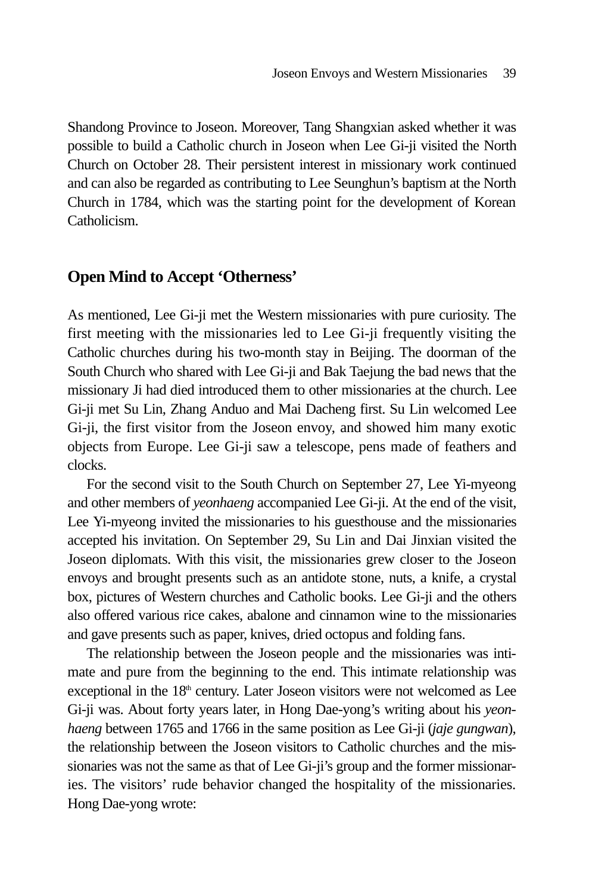Shandong Province to Joseon. Moreover, Tang Shangxian asked whether it was possible to build a Catholic church in Joseon when Lee Gi-ji visited the North Church on October 28. Their persistent interest in missionary work continued and can also be regarded as contributing to Lee Seunghun's baptism at the North Church in 1784, which was the starting point for the development of Korean Catholicism.

## **Open Mind to Accept 'Otherness'**

As mentioned, Lee Gi-ji met the Western missionaries with pure curiosity. The first meeting with the missionaries led to Lee Gi-ji frequently visiting the Catholic churches during his two-month stay in Beijing. The doorman of the South Church who shared with Lee Gi-ji and Bak Taejung the bad news that the missionary Ji had died introduced them to other missionaries at the church. Lee Gi-ji met Su Lin, Zhang Anduo and Mai Dacheng first. Su Lin welcomed Lee Gi-ji, the first visitor from the Joseon envoy, and showed him many exotic objects from Europe. Lee Gi-ji saw a telescope, pens made of feathers and clocks.

For the second visit to the South Church on September 27, Lee Yi-myeong and other members of *yeonhaeng* accompanied Lee Gi-ji. At the end of the visit, Lee Yi-myeong invited the missionaries to his guesthouse and the missionaries accepted his invitation. On September 29, Su Lin and Dai Jinxian visited the Joseon diplomats. With this visit, the missionaries grew closer to the Joseon envoys and brought presents such as an antidote stone, nuts, a knife, a crystal box, pictures of Western churches and Catholic books. Lee Gi-ji and the others also offered various rice cakes, abalone and cinnamon wine to the missionaries and gave presents such as paper, knives, dried octopus and folding fans.

The relationship between the Joseon people and the missionaries was intimate and pure from the beginning to the end. This intimate relationship was exceptional in the  $18<sup>th</sup>$  century. Later Joseon visitors were not welcomed as Lee Gi-ji was. About forty years later, in Hong Dae-yong's writing about his *yeonhaeng* between 1765 and 1766 in the same position as Lee Gi-ji (*jaje gungwan*), the relationship between the Joseon visitors to Catholic churches and the missionaries was not the same as that of Lee Gi-ji's group and the former missionaries. The visitors' rude behavior changed the hospitality of the missionaries. Hong Dae-yong wrote: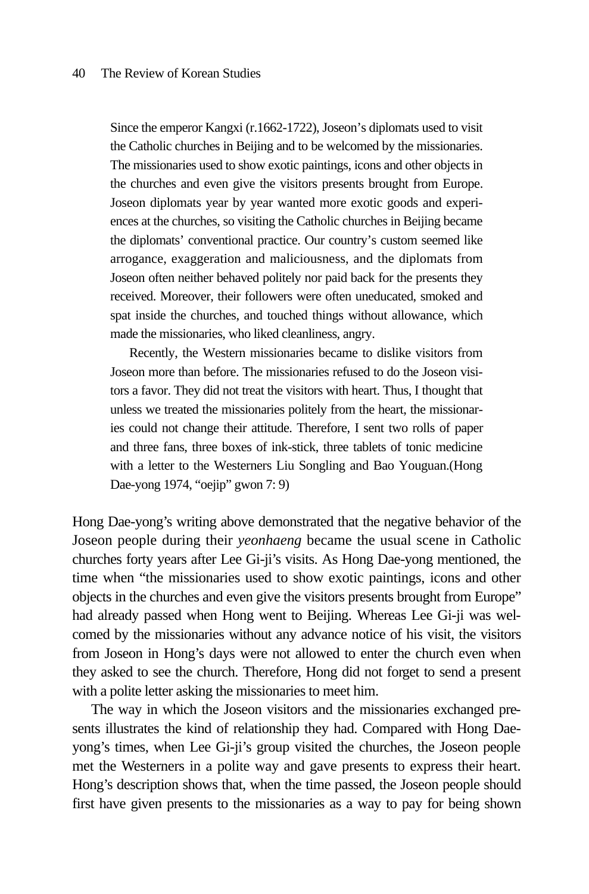Since the emperor Kangxi (r.1662-1722), Joseon's diplomats used to visit the Catholic churches in Beijing and to be welcomed by the missionaries. The missionaries used to show exotic paintings, icons and other objects in the churches and even give the visitors presents brought from Europe. Joseon diplomats year by year wanted more exotic goods and experiences at the churches, so visiting the Catholic churches in Beijing became the diplomats' conventional practice. Our country's custom seemed like arrogance, exaggeration and maliciousness, and the diplomats from Joseon often neither behaved politely nor paid back for the presents they received. Moreover, their followers were often uneducated, smoked and spat inside the churches, and touched things without allowance, which made the missionaries, who liked cleanliness, angry.

Recently, the Western missionaries became to dislike visitors from Joseon more than before. The missionaries refused to do the Joseon visitors a favor. They did not treat the visitors with heart. Thus, I thought that unless we treated the missionaries politely from the heart, the missionaries could not change their attitude. Therefore, I sent two rolls of paper and three fans, three boxes of ink-stick, three tablets of tonic medicine with a letter to the Westerners Liu Songling and Bao Youguan.(Hong Dae-yong 1974, "oejip" gwon 7: 9)

Hong Dae-yong's writing above demonstrated that the negative behavior of the Joseon people during their *yeonhaeng* became the usual scene in Catholic churches forty years after Lee Gi-ji's visits. As Hong Dae-yong mentioned, the time when "the missionaries used to show exotic paintings, icons and other objects in the churches and even give the visitors presents brought from Europe" had already passed when Hong went to Beijing. Whereas Lee Gi-ji was welcomed by the missionaries without any advance notice of his visit, the visitors from Joseon in Hong's days were not allowed to enter the church even when they asked to see the church. Therefore, Hong did not forget to send a present with a polite letter asking the missionaries to meet him.

The way in which the Joseon visitors and the missionaries exchanged presents illustrates the kind of relationship they had. Compared with Hong Daeyong's times, when Lee Gi-ji's group visited the churches, the Joseon people met the Westerners in a polite way and gave presents to express their heart. Hong's description shows that, when the time passed, the Joseon people should first have given presents to the missionaries as a way to pay for being shown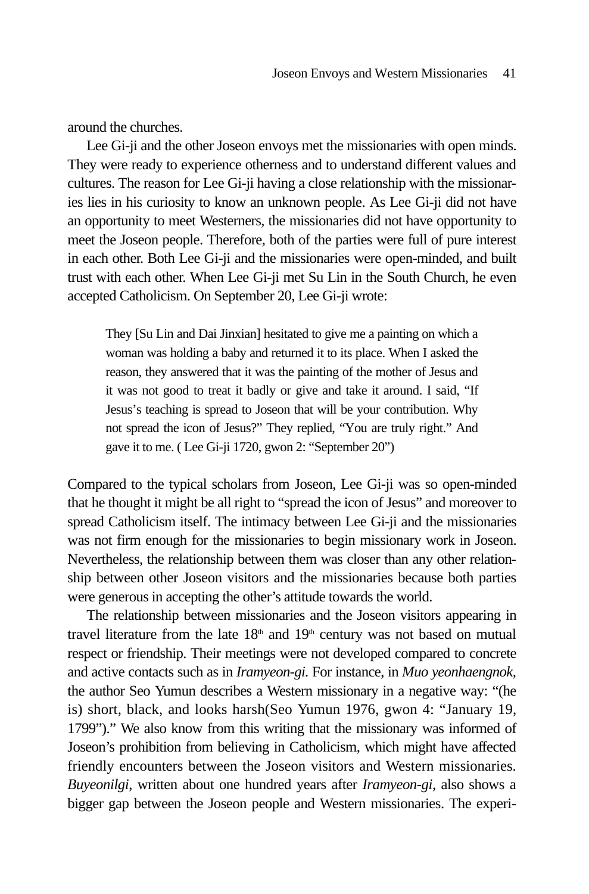around the churches.

Lee Gi-ji and the other Joseon envoys met the missionaries with open minds. They were ready to experience otherness and to understand different values and cultures. The reason for Lee Gi-ji having a close relationship with the missionaries lies in his curiosity to know an unknown people. As Lee Gi-ji did not have an opportunity to meet Westerners, the missionaries did not have opportunity to meet the Joseon people. Therefore, both of the parties were full of pure interest in each other. Both Lee Gi-ji and the missionaries were open-minded, and built trust with each other. When Lee Gi-ji met Su Lin in the South Church, he even accepted Catholicism. On September 20, Lee Gi-ji wrote:

They [Su Lin and Dai Jinxian] hesitated to give me a painting on which a woman was holding a baby and returned it to its place. When I asked the reason, they answered that it was the painting of the mother of Jesus and it was not good to treat it badly or give and take it around. I said, "If Jesus's teaching is spread to Joseon that will be your contribution. Why not spread the icon of Jesus?" They replied, "You are truly right." And gave it to me. ( Lee Gi-ji 1720, gwon 2: "September 20")

Compared to the typical scholars from Joseon, Lee Gi-ji was so open-minded that he thought it might be all right to "spread the icon of Jesus" and moreover to spread Catholicism itself. The intimacy between Lee Gi-ji and the missionaries was not firm enough for the missionaries to begin missionary work in Joseon. Nevertheless, the relationship between them was closer than any other relationship between other Joseon visitors and the missionaries because both parties were generous in accepting the other's attitude towards the world.

The relationship between missionaries and the Joseon visitors appearing in travel literature from the late  $18<sup>th</sup>$  and  $19<sup>th</sup>$  century was not based on mutual respect or friendship. Their meetings were not developed compared to concrete and active contacts such as in *Iramyeon-gi.* For instance, in *Muo yeonhaengnok,* the author Seo Yumun describes a Western missionary in a negative way: "(he is) short, black, and looks harsh(Seo Yumun 1976, gwon 4: "January 19, 1799")." We also know from this writing that the missionary was informed of Joseon's prohibition from believing in Catholicism, which might have affected friendly encounters between the Joseon visitors and Western missionaries. *Buyeonilgi*, written about one hundred years after *Iramyeon-gi,* also shows a bigger gap between the Joseon people and Western missionaries. The experi-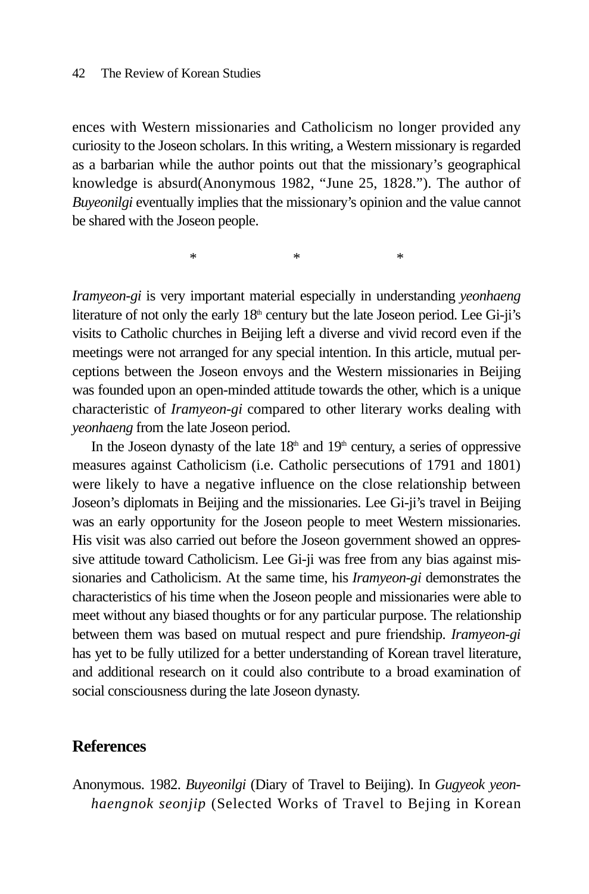#### 42 The Review of Korean Studies

ences with Western missionaries and Catholicism no longer provided any curiosity to the Joseon scholars. In this writing, a Western missionary is regarded as a barbarian while the author points out that the missionary's geographical knowledge is absurd(Anonymous 1982, "June 25, 1828."). The author of *Buyeonilgi* eventually implies that the missionary's opinion and the value cannot be shared with the Joseon people.

 $*$  \*  $*$  \*

*Iramyeon-gi* is very important material especially in understanding *yeonhaeng* literature of not only the early  $18<sup>th</sup>$  century but the late Joseon period. Lee Gi-ji's visits to Catholic churches in Beijing left a diverse and vivid record even if the meetings were not arranged for any special intention. In this article, mutual perceptions between the Joseon envoys and the Western missionaries in Beijing was founded upon an open-minded attitude towards the other, which is a unique characteristic of *Iramyeon-gi* compared to other literary works dealing with *yeonhaeng* from the late Joseon period.

In the Joseon dynasty of the late  $18<sup>th</sup>$  and  $19<sup>th</sup>$  century, a series of oppressive measures against Catholicism (i.e. Catholic persecutions of 1791 and 1801) were likely to have a negative influence on the close relationship between Joseon's diplomats in Beijing and the missionaries. Lee Gi-ji's travel in Beijing was an early opportunity for the Joseon people to meet Western missionaries. His visit was also carried out before the Joseon government showed an oppressive attitude toward Catholicism. Lee Gi-ji was free from any bias against missionaries and Catholicism. At the same time, his *Iramyeon-gi* demonstrates the characteristics of his time when the Joseon people and missionaries were able to meet without any biased thoughts or for any particular purpose. The relationship between them was based on mutual respect and pure friendship. *Iramyeon-gi* has yet to be fully utilized for a better understanding of Korean travel literature, and additional research on it could also contribute to a broad examination of social consciousness during the late Joseon dynasty.

### **References**

Anonymous. 1982. *Buyeonilgi* (Diary of Travel to Beijing). In *Gugyeok yeonhaengnok seonjip* (Selected Works of Travel to Bejing in Korean